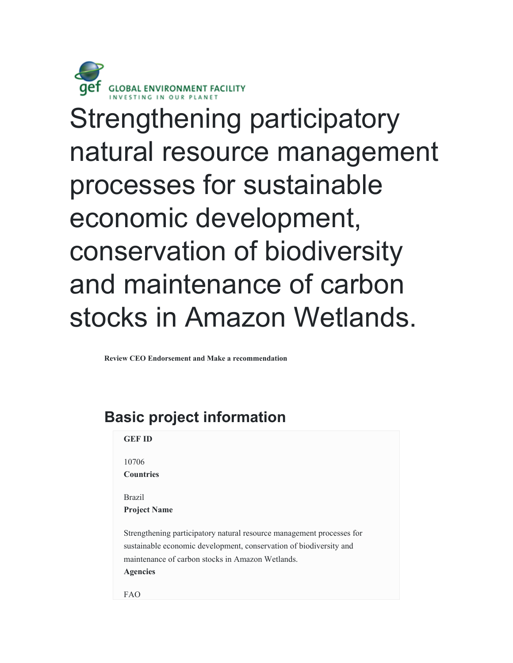

Strengthening participatory natural resource management processes for sustainable economic development, conservation of biodiversity and maintenance of carbon stocks in Amazon Wetlands.

**Review CEO Endorsement and Make a recommendation**

# **Basic project information GEF ID**

10706 **Countries**

Brazil **Project Name**

Strengthening participatory natural resource management processes for sustainable economic development, conservation of biodiversity and maintenance of carbon stocks in Amazon Wetlands. **Agencies**

FAO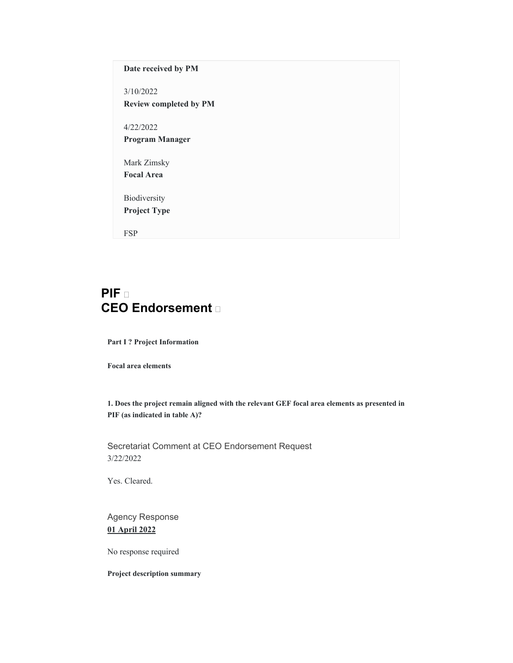# **Date received by PM**

3/10/2022 **Review completed by PM**

4/22/2022 **Program Manager**

Mark Zimsky **Focal Area**

Biodiversity **Project Type**

FSP

# **PIF CEO Endorsement**

**Part I ? Project Information** 

**Focal area elements** 

**1. Does the project remain aligned with the relevant GEF focal area elements as presented in PIF (as indicated in table A)?** 

Secretariat Comment at CEO Endorsement Request 3/22/2022

Yes. Cleared.

Agency Response **01 April 2022**

No response required

**Project description summary**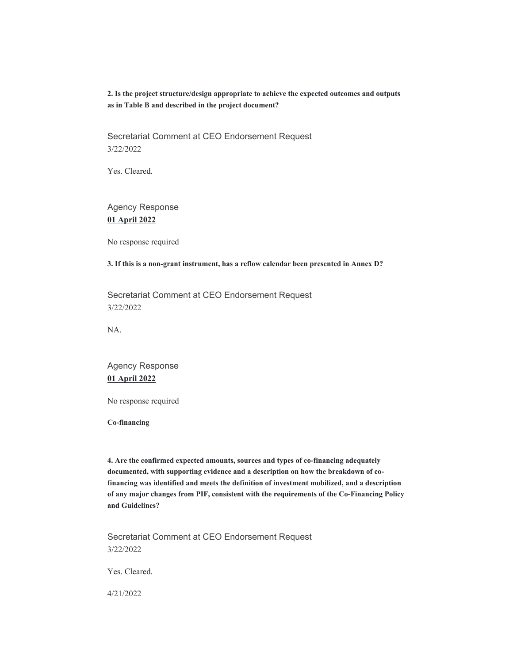**2. Is the project structure/design appropriate to achieve the expected outcomes and outputs as in Table B and described in the project document?** 

Secretariat Comment at CEO Endorsement Request 3/22/2022

Yes. Cleared.

Agency Response **01 April 2022**

No response required

**3. If this is a non-grant instrument, has a reflow calendar been presented in Annex D?** 

Secretariat Comment at CEO Endorsement Request 3/22/2022

NA.

Agency Response **01 April 2022**

No response required

**Co-financing** 

**4. Are the confirmed expected amounts, sources and types of co-financing adequately documented, with supporting evidence and a description on how the breakdown of cofinancing was identified and meets the definition of investment mobilized, and a description of any major changes from PIF, consistent with the requirements of the Co-Financing Policy and Guidelines?** 

Secretariat Comment at CEO Endorsement Request 3/22/2022

Yes. Cleared.

4/21/2022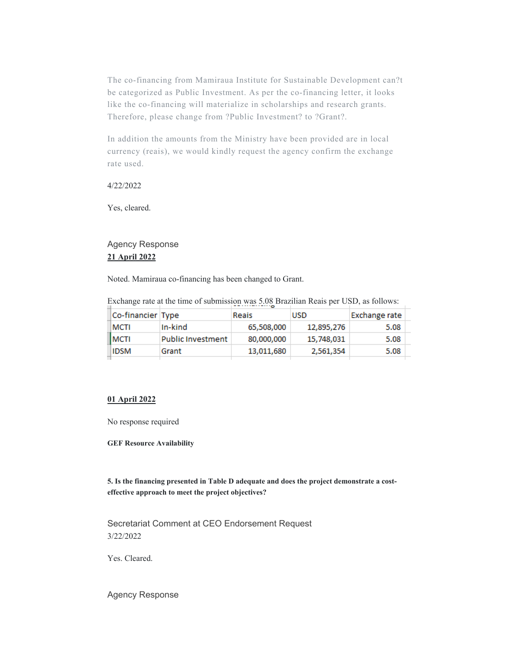The co-financing from Mamiraua Institute for Sustainable Development can?t be categorized as Public Investment. As per the co-financing letter, it looks like the co-financing will materialize in scholarships and research grants. Therefore, please change from ?Public Investment? to ?Grant?.

In addition the amounts from the Ministry have been provided are in local currency (reais), we would kindly request the agency confirm the exchange rate used.

### 4/22/2022

Yes, cleared.

# Agency Response **21 April 2022**

Noted. Mamiraua co-financing has been changed to Grant.

Exchange rate at the time of submission was 5.08 Brazilian Reais per USD, as follows:

| Co-financier Type |                          | Reais      | <b>USD</b> | Exchange rate |  |
|-------------------|--------------------------|------------|------------|---------------|--|
| MCTI              | In-kind                  | 65,508,000 | 12,895,276 | 5.08          |  |
| MCTI              | <b>Public Investment</b> | 80,000,000 | 15,748,031 | 5.08          |  |
| <b>IDSM</b>       | Grant                    | 13,011,680 | 2,561,354  | 5.08          |  |
|                   |                          |            |            |               |  |

### **01 April 2022**

No response required

**GEF Resource Availability** 

**5. Is the financing presented in Table D adequate and does the project demonstrate a costeffective approach to meet the project objectives?** 

Secretariat Comment at CEO Endorsement Request 3/22/2022

Yes. Cleared.

Agency Response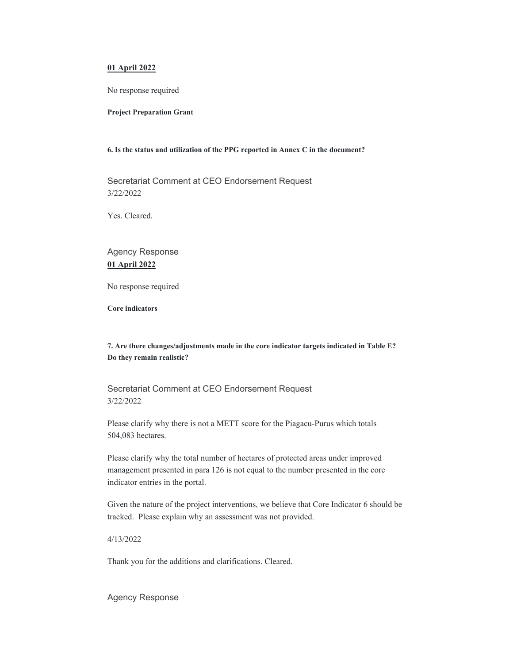### **01 April 2022**

No response required

#### **Project Preparation Grant**

#### **6. Is the status and utilization of the PPG reported in Annex C in the document?**

Secretariat Comment at CEO Endorsement Request 3/22/2022

Yes. Cleared.

# Agency Response **01 April 2022**

No response required

**Core indicators** 

# **7. Are there changes/adjustments made in the core indicator targets indicated in Table E? Do they remain realistic?**

Secretariat Comment at CEO Endorsement Request 3/22/2022

Please clarify why there is not a METT score for the Piagacu-Purus which totals 504,083 hectares.

Please clarify why the total number of hectares of protected areas under improved management presented in para 126 is not equal to the number presented in the core indicator entries in the portal.

Given the nature of the project interventions, we believe that Core Indicator 6 should be tracked. Please explain why an assessment was not provided.

4/13/2022

Thank you for the additions and clarifications. Cleared.

Agency Response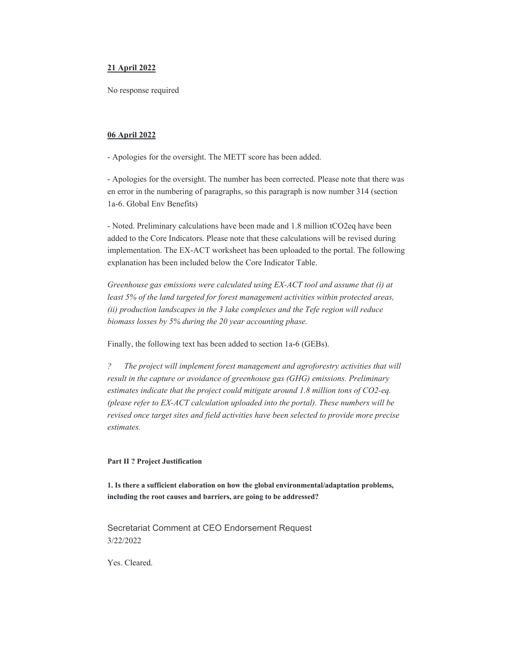#### **21 April 2022**

No response required

#### **06 April 2022**

- Apologies for the oversight. The METT score has been added.

- Apologies for the oversight. The number has been corrected. Please note that there was en error in the numbering of paragraphs, so this paragraph is now number 314 (section 1a-6. Global Env Benefits)

- Noted. Preliminary calculations have been made and 1.8 million tCO2eq have been added to the Core Indicators. Please note that these calculations will be revised during implementation. The EX-ACT worksheet has been uploaded to the portal. The following explanation has been included below the Core Indicator Table.

*Greenhouse gas emissions were calculated using EX-ACT tool and assume that (i) at least 5% of the land targeted for forest management activities within protected areas, (ii) production landscapes in the 3 lake complexes and the Tefe region will reduce biomass losses by 5% during the 20 year accounting phase.*

Finally, the following text has been added to section 1a-6 (GEBs).

*? The project will implement forest management and agroforestry activities that will result in the capture or avoidance of greenhouse gas (GHG) emissions. Preliminary estimates indicate that the project could mitigate around 1.8 million tons of CO2-eq. (please refer to EX-ACT calculation uploaded into the portal). These numbers will be revised once target sites and field activities have been selected to provide more precise estimates.*

#### **Part II ? Project Justification**

**1. Is there a sufficient elaboration on how the global environmental/adaptation problems, including the root causes and barriers, are going to be addressed?** 

Secretariat Comment at CEO Endorsement Request 3/22/2022

Yes. Cleared.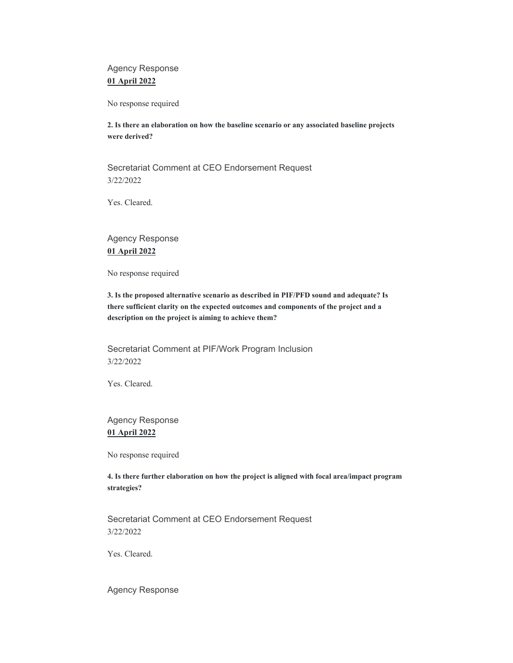Agency Response **01 April 2022**

No response required

**2. Is there an elaboration on how the baseline scenario or any associated baseline projects were derived?** 

Secretariat Comment at CEO Endorsement Request 3/22/2022

Yes. Cleared.

Agency Response **01 April 2022**

No response required

**3. Is the proposed alternative scenario as described in PIF/PFD sound and adequate? Is there sufficient clarity on the expected outcomes and components of the project and a description on the project is aiming to achieve them?** 

Secretariat Comment at PIF/Work Program Inclusion 3/22/2022

Yes. Cleared.

Agency Response **01 April 2022**

No response required

**4. Is there further elaboration on how the project is aligned with focal area/impact program strategies?** 

Secretariat Comment at CEO Endorsement Request 3/22/2022

Yes. Cleared.

Agency Response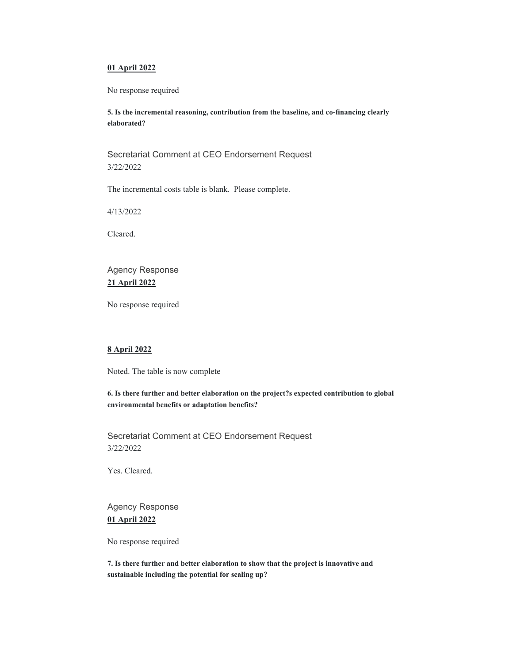### **01 April 2022**

No response required

**5. Is the incremental reasoning, contribution from the baseline, and co-financing clearly elaborated?** 

Secretariat Comment at CEO Endorsement Request 3/22/2022

The incremental costs table is blank. Please complete.

4/13/2022

Cleared.

# Agency Response **21 April 2022**

No response required

## **8 April 2022**

Noted. The table is now complete

**6. Is there further and better elaboration on the project?s expected contribution to global environmental benefits or adaptation benefits?** 

Secretariat Comment at CEO Endorsement Request 3/22/2022

Yes. Cleared.

Agency Response **01 April 2022**

No response required

**7. Is there further and better elaboration to show that the project is innovative and sustainable including the potential for scaling up?**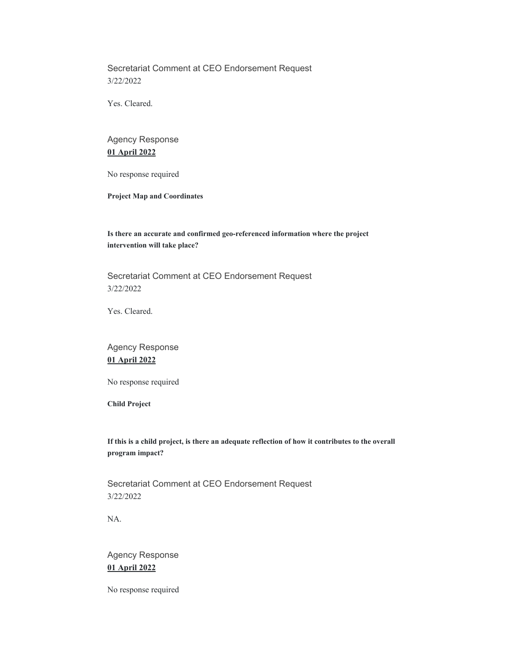Secretariat Comment at CEO Endorsement Request 3/22/2022

Yes. Cleared.

# Agency Response **01 April 2022**

No response required

**Project Map and Coordinates** 

# **Is there an accurate and confirmed geo-referenced information where the project intervention will take place?**

Secretariat Comment at CEO Endorsement Request 3/22/2022

Yes. Cleared.

Agency Response **01 April 2022**

No response required

**Child Project** 

**If this is a child project, is there an adequate reflection of how it contributes to the overall program impact?** 

Secretariat Comment at CEO Endorsement Request 3/22/2022

NA.

Agency Response **01 April 2022**

No response required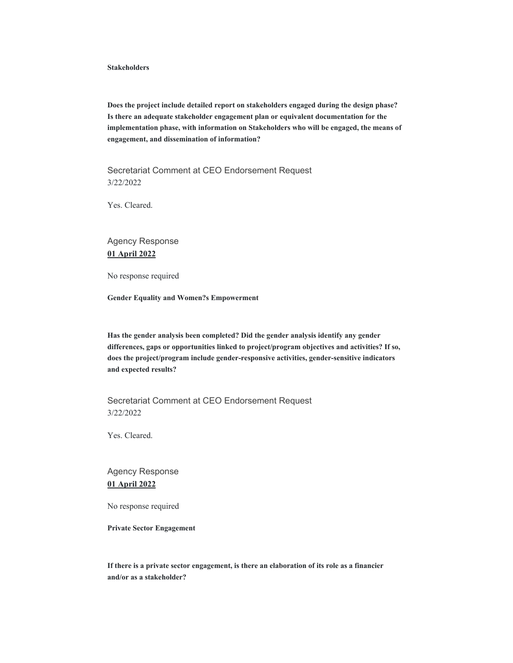#### **Stakeholders**

**Does the project include detailed report on stakeholders engaged during the design phase? Is there an adequate stakeholder engagement plan or equivalent documentation for the implementation phase, with information on Stakeholders who will be engaged, the means of engagement, and dissemination of information?** 

Secretariat Comment at CEO Endorsement Request 3/22/2022

Yes. Cleared.

# Agency Response **01 April 2022**

No response required

**Gender Equality and Women?s Empowerment** 

**Has the gender analysis been completed? Did the gender analysis identify any gender differences, gaps or opportunities linked to project/program objectives and activities? If so, does the project/program include gender-responsive activities, gender-sensitive indicators and expected results?** 

Secretariat Comment at CEO Endorsement Request 3/22/2022

Yes. Cleared.

# Agency Response **01 April 2022**

No response required

**Private Sector Engagement** 

**If there is a private sector engagement, is there an elaboration of its role as a financier and/or as a stakeholder?**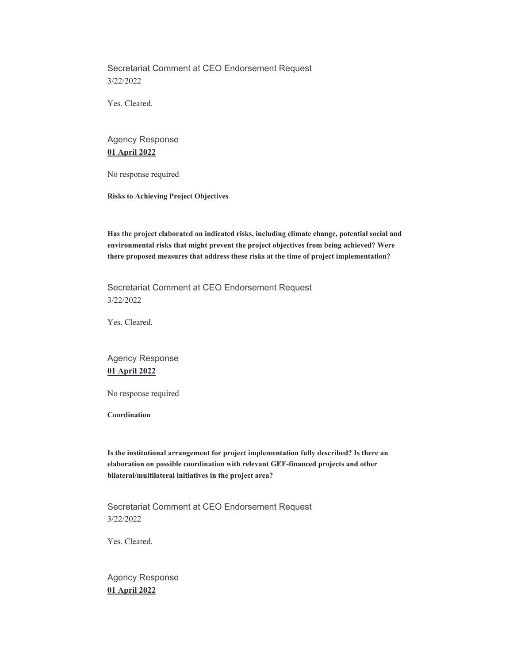Secretariat Comment at CEO Endorsement Request 3/22/2022

Yes. Cleared.

# Agency Response **01 April 2022**

No response required

**Risks to Achieving Project Objectives** 

**Has the project elaborated on indicated risks, including climate change, potential social and environmental risks that might prevent the project objectives from being achieved? Were there proposed measures that address these risks at the time of project implementation?** 

Secretariat Comment at CEO Endorsement Request 3/22/2022

Yes. Cleared.

# Agency Response **01 April 2022**

No response required

**Coordination** 

**Is the institutional arrangement for project implementation fully described? Is there an elaboration on possible coordination with relevant GEF-financed projects and other bilateral/multilateral initiatives in the project area?** 

Secretariat Comment at CEO Endorsement Request 3/22/2022

Yes. Cleared.

Agency Response **01 April 2022**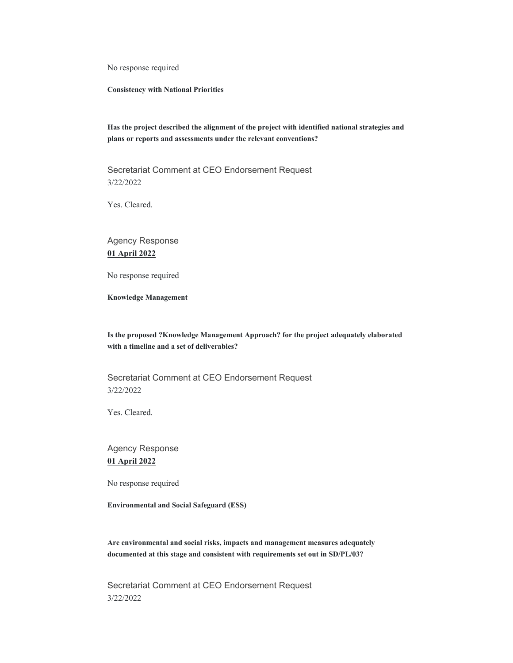No response required

**Consistency with National Priorities** 

**Has the project described the alignment of the project with identified national strategies and plans or reports and assessments under the relevant conventions?** 

Secretariat Comment at CEO Endorsement Request 3/22/2022

Yes. Cleared.

Agency Response **01 April 2022**

No response required

**Knowledge Management** 

**Is the proposed ?Knowledge Management Approach? for the project adequately elaborated with a timeline and a set of deliverables?** 

Secretariat Comment at CEO Endorsement Request 3/22/2022

Yes. Cleared.

Agency Response **01 April 2022**

No response required

**Environmental and Social Safeguard (ESS)** 

**Are environmental and social risks, impacts and management measures adequately documented at this stage and consistent with requirements set out in SD/PL/03?** 

Secretariat Comment at CEO Endorsement Request 3/22/2022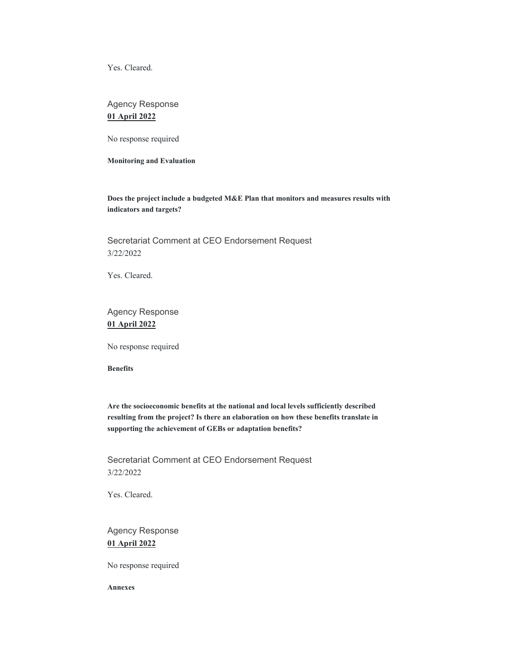Yes. Cleared.

# Agency Response **01 April 2022**

No response required

**Monitoring and Evaluation** 

**Does the project include a budgeted M&E Plan that monitors and measures results with indicators and targets?** 

Secretariat Comment at CEO Endorsement Request 3/22/2022

Yes. Cleared.

Agency Response **01 April 2022**

No response required

**Benefits** 

**Are the socioeconomic benefits at the national and local levels sufficiently described resulting from the project? Is there an elaboration on how these benefits translate in supporting the achievement of GEBs or adaptation benefits?** 

Secretariat Comment at CEO Endorsement Request 3/22/2022

Yes. Cleared.

Agency Response **01 April 2022**

No response required

**Annexes**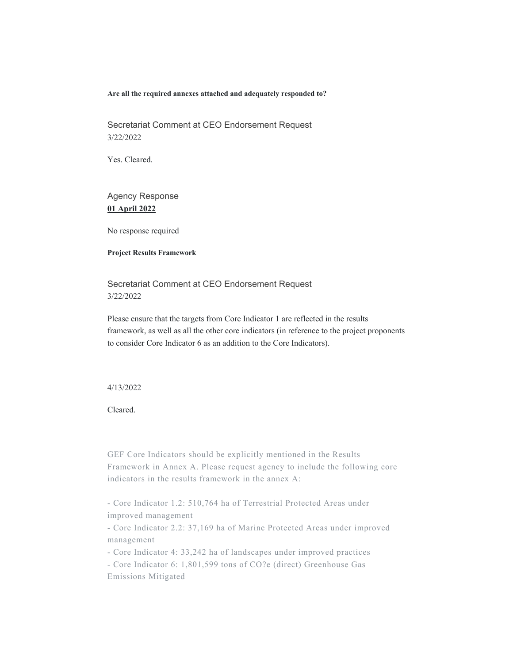**Are all the required annexes attached and adequately responded to?** 

Secretariat Comment at CEO Endorsement Request 3/22/2022

Yes. Cleared.

# Agency Response **01 April 2022**

No response required

#### **Project Results Framework**

Secretariat Comment at CEO Endorsement Request 3/22/2022

Please ensure that the targets from Core Indicator 1 are reflected in the results framework, as well as all the other core indicators (in reference to the project proponents to consider Core Indicator 6 as an addition to the Core Indicators).

### 4/13/2022

Cleared.

GEF Core Indicators should be explicitly mentioned in the Results Framework in Annex A. Please request agency to include the following core indicators in the results framework in the annex A:

- Core Indicator 1.2: 510,764 ha of Terrestrial Protected Areas under improved management

- Core Indicator 2.2: 37,169 ha of Marine Protected Areas under improved management

- Core Indicator 4: 33,242 ha of landscapes under improved practices

- Core Indicator 6: 1,801,599 tons of CO?e (direct) Greenhouse Gas Emissions Mitigated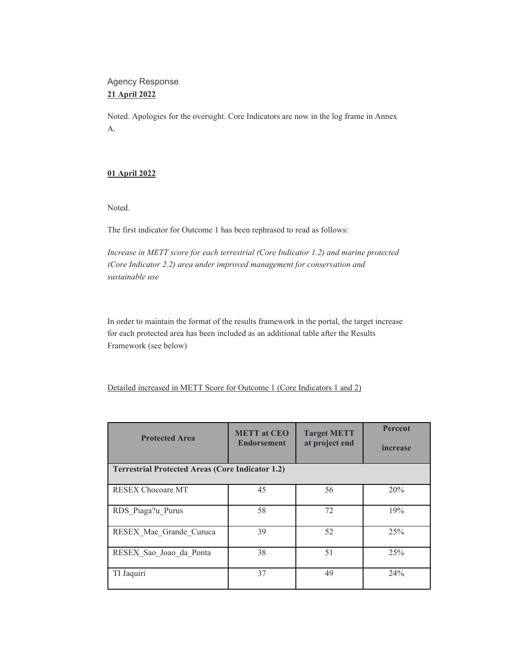# Agency Response **21 April 2022**

Noted. Apologies for the oversight. Core Indicators are now in the log frame in Annex A.

# **01 April 2022**

Noted.

The first indicator for Outcome 1 has been rephrased to read as follows:

*Increase in METT score for each terrestrial (Core Indicator 1.2) and marine protected (Core Indicator 2.2) area under improved management for conservation and sustainable use*

In order to maintain the format of the results framework in the portal, the target increase for each protected area has been included as an additional table after the Results Framework (see below)

Detailed increased in METT Score for Outcome 1 (Core Indicators 1 and 2)

| <b>Protected Area</b>                                   | <b>METT</b> at CEO<br><b>Endorsement</b> | <b>Target METT</b><br>at project end | <b>Percent</b><br>increase |  |  |
|---------------------------------------------------------|------------------------------------------|--------------------------------------|----------------------------|--|--|
| <b>Terrestrial Protected Areas (Core Indicator 1.2)</b> |                                          |                                      |                            |  |  |
| <b>RESEX Chocoare MT</b>                                | 45                                       | 56                                   | 20%                        |  |  |
| RDS Piaga?u Purus                                       | 58                                       | 72                                   | 19%                        |  |  |
| RESEX Mae Grande Curuca                                 | 39                                       | 52                                   | 25%                        |  |  |
| RESEX Sao Joao da Ponta                                 | 38                                       | 51                                   | 25%                        |  |  |
| TI Jaquiri                                              | 37                                       | 49                                   | 24%                        |  |  |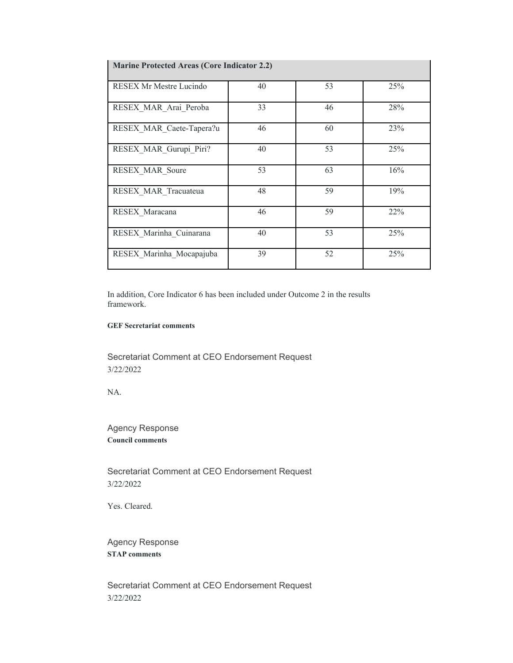| <b>Marine Protected Areas (Core Indicator 2.2)</b> |    |    |     |  |  |
|----------------------------------------------------|----|----|-----|--|--|
| <b>RESEX Mr Mestre Lucindo</b>                     | 40 | 53 | 25% |  |  |
| RESEX MAR Arai Peroba                              | 33 | 46 | 28% |  |  |
| RESEX MAR Caete-Tapera?u                           | 46 | 60 | 23% |  |  |
| RESEX MAR Gurupi Piri?                             | 40 | 53 | 25% |  |  |
| RESEX MAR Soure                                    | 53 | 63 | 16% |  |  |
| RESEX MAR Tracuateua                               | 48 | 59 | 19% |  |  |
| RESEX Maracana                                     | 46 | 59 | 22% |  |  |
| RESEX Marinha Cuinarana                            | 40 | 53 | 25% |  |  |
| RESEX Marinha Mocapajuba                           | 39 | 52 | 25% |  |  |

In addition, Core Indicator 6 has been included under Outcome 2 in the results framework.

## **GEF Secretariat comments**

Secretariat Comment at CEO Endorsement Request 3/22/2022

NA.

Agency Response **Council comments** 

Secretariat Comment at CEO Endorsement Request 3/22/2022

Yes. Cleared.

Agency Response **STAP comments** 

Secretariat Comment at CEO Endorsement Request 3/22/2022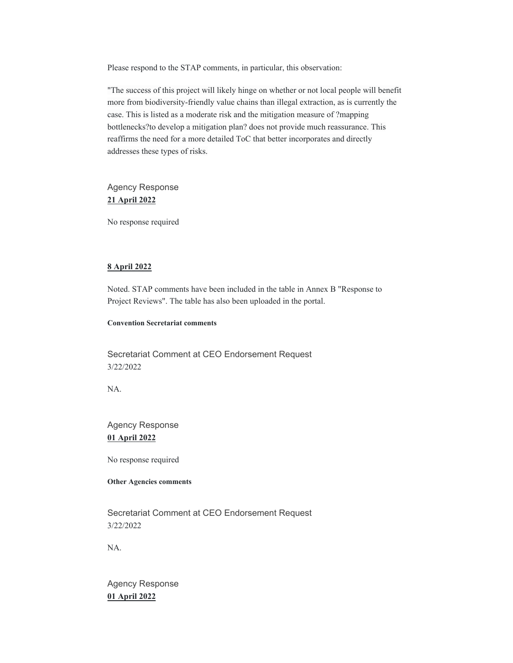Please respond to the STAP comments, in particular, this observation:

"The success of this project will likely hinge on whether or not local people will benefit more from biodiversity-friendly value chains than illegal extraction, as is currently the case. This is listed as a moderate risk and the mitigation measure of ?mapping bottlenecks?to develop a mitigation plan? does not provide much reassurance. This reaffirms the need for a more detailed ToC that better incorporates and directly addresses these types of risks.

Agency Response **21 April 2022**

No response required

### **8 April 2022**

Noted. STAP comments have been included in the table in Annex B "Response to Project Reviews". The table has also been uploaded in the portal.

### **Convention Secretariat comments**

Secretariat Comment at CEO Endorsement Request 3/22/2022

NA.

# Agency Response **01 April 2022**

No response required

### **Other Agencies comments**

Secretariat Comment at CEO Endorsement Request 3/22/2022

NA.

Agency Response **01 April 2022**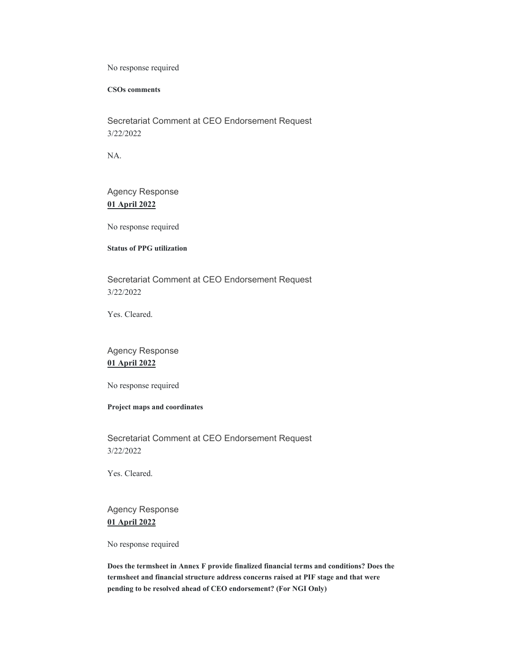No response required

**CSOs comments** 

Secretariat Comment at CEO Endorsement Request 3/22/2022

NA.

Agency Response **01 April 2022**

No response required

# **Status of PPG utilization**

Secretariat Comment at CEO Endorsement Request 3/22/2022

Yes. Cleared.

# Agency Response **01 April 2022**

No response required

### **Project maps and coordinates**

Secretariat Comment at CEO Endorsement Request 3/22/2022

Yes. Cleared.

Agency Response **01 April 2022**

No response required

**Does the termsheet in Annex F provide finalized financial terms and conditions? Does the termsheet and financial structure address concerns raised at PIF stage and that were pending to be resolved ahead of CEO endorsement? (For NGI Only)**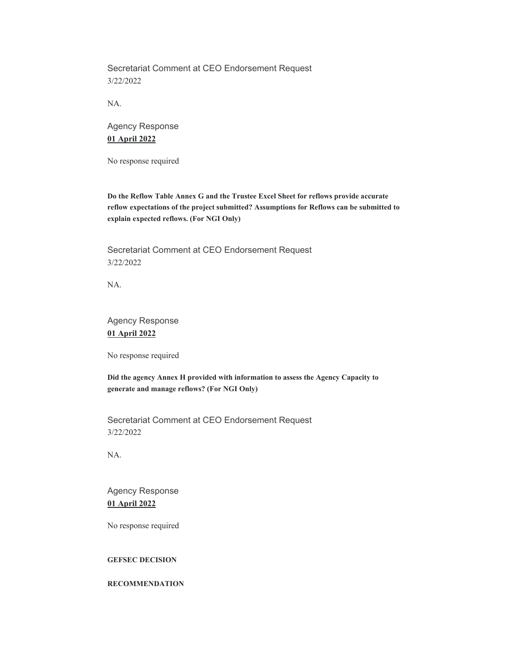Secretariat Comment at CEO Endorsement Request 3/22/2022

NA.

Agency Response **01 April 2022**

No response required

**Do the Reflow Table Annex G and the Trustee Excel Sheet for reflows provide accurate reflow expectations of the project submitted? Assumptions for Reflows can be submitted to explain expected reflows. (For NGI Only)** 

Secretariat Comment at CEO Endorsement Request 3/22/2022

NA.

Agency Response **01 April 2022**

No response required

**Did the agency Annex H provided with information to assess the Agency Capacity to generate and manage reflows? (For NGI Only)** 

Secretariat Comment at CEO Endorsement Request 3/22/2022

NA.

Agency Response **01 April 2022**

No response required

## **GEFSEC DECISION**

#### **RECOMMENDATION**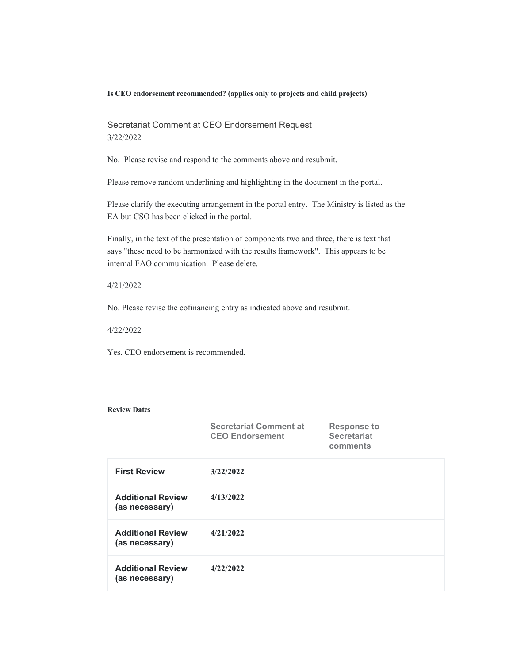#### **Is CEO endorsement recommended? (applies only to projects and child projects)**

Secretariat Comment at CEO Endorsement Request 3/22/2022

No. Please revise and respond to the comments above and resubmit.

Please remove random underlining and highlighting in the document in the portal.

Please clarify the executing arrangement in the portal entry. The Ministry is listed as the EA but CSO has been clicked in the portal.

Finally, in the text of the presentation of components two and three, there is text that says "these need to be harmonized with the results framework". This appears to be internal FAO communication. Please delete.

### 4/21/2022

No. Please revise the cofinancing entry as indicated above and resubmit.

4/22/2022

Yes. CEO endorsement is recommended.

### **Review Dates**

|                                            | <b>Secretariat Comment at</b><br><b>CEO Endorsement</b> | <b>Response to</b><br><b>Secretariat</b><br>comments |
|--------------------------------------------|---------------------------------------------------------|------------------------------------------------------|
| <b>First Review</b>                        | 3/22/2022                                               |                                                      |
| <b>Additional Review</b><br>(as necessary) | 4/13/2022                                               |                                                      |
| <b>Additional Review</b><br>(as necessary) | 4/21/2022                                               |                                                      |
| <b>Additional Review</b><br>(as necessary) | 4/22/2022                                               |                                                      |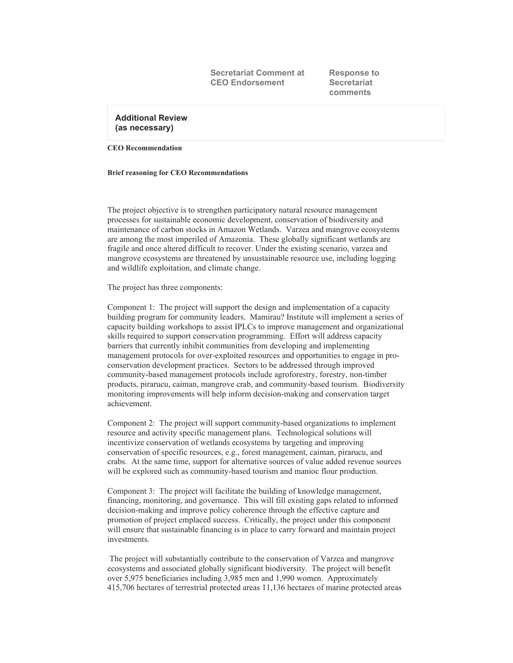**Secretariat Comment at CEO Endorsement**

**Response to Secretariat comments**

**Additional Review (as necessary)**

**CEO Recommendation** 

#### **Brief reasoning for CEO Recommendations**

The project objective is to strengthen participatory natural resource management processes for sustainable economic development, conservation of biodiversity and maintenance of carbon stocks in Amazon Wetlands. Varzea and mangrove ecosystems are among the most imperiled of Amazonia. These globally significant wetlands are fragile and once altered difficult to recover. Under the existing scenario, varzea and mangrove ecosystems are threatened by unsustainable resource use, including logging and wildlife exploitation, and climate change.

The project has three components:

Component 1: The project will support the design and implementation of a capacity building program for community leaders. Mamirau? Institute will implement a series of capacity building workshops to assist IPLCs to improve management and organizational skills required to support conservation programming. Effort will address capacity barriers that currently inhibit communities from developing and implementing management protocols for over-exploited resources and opportunities to engage in proconservation development practices. Sectors to be addressed through improved community-based management protocols include agroforestry, forestry, non-timber products, pirarucu, caiman, mangrove crab, and community-based tourism. Biodiversity monitoring improvements will help inform decision-making and conservation target achievement.

Component 2: The project will support community-based organizations to implement resource and activity specific management plans. Technological solutions will incentivize conservation of wetlands ecosystems by targeting and improving conservation of specific resources, e.g., forest management, caiman, pirarucu, and crabs. At the same time, support for alternative sources of value added revenue sources will be explored such as community-based tourism and manioc flour production.

Component 3: The project will facilitate the building of knowledge management, financing, monitoring, and governance. This will fill existing gaps related to informed decision-making and improve policy coherence through the effective capture and promotion of project emplaced success. Critically, the project under this component will ensure that sustainable financing is in place to carry forward and maintain project investments.

 The project will substantially contribute to the conservation of Varzea and mangrove ecosystems and associated globally significant biodiversity. The project will benefit over 5,975 beneficiaries including 3,985 men and 1,990 women. Approximately 415,706 hectares of terrestrial protected areas 11,136 hectares of marine protected areas